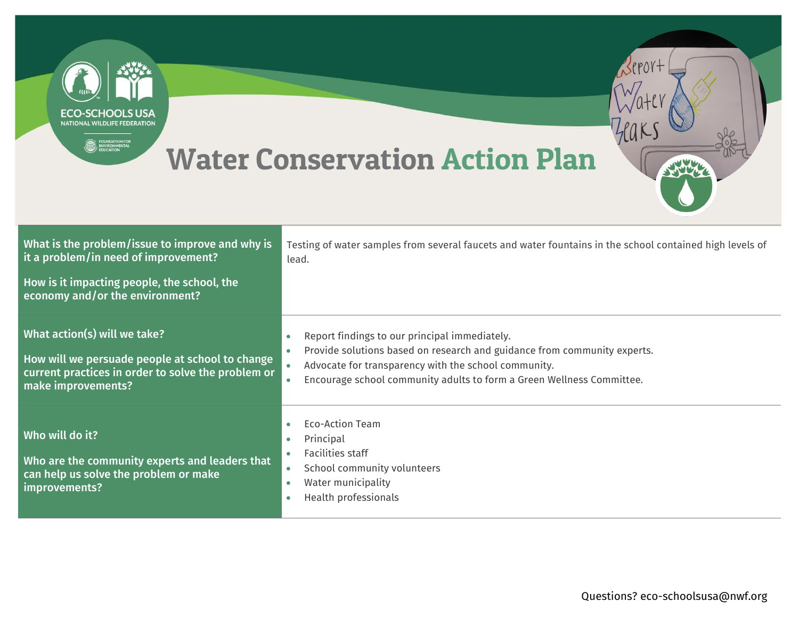